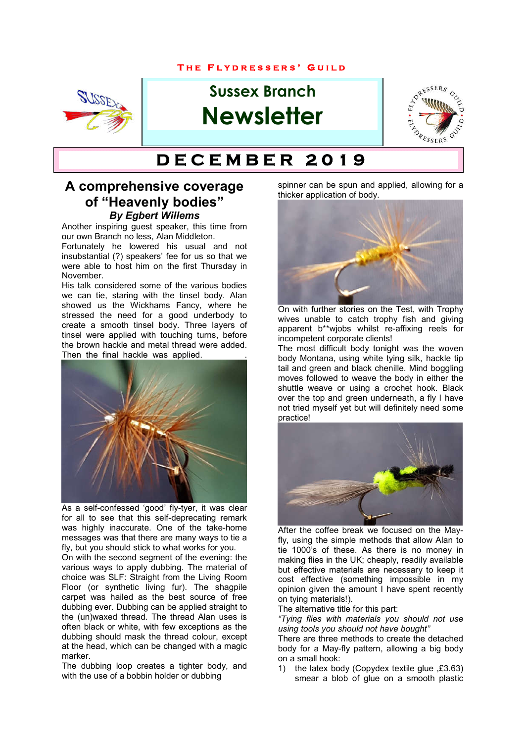#### **T H E F L Y D R E S S E R S ' G U I L D**



# **Sussex Branch Newsletter**



# $DECEMBER 2019$

#### **A comprehensive coverage of "Heavenly bodies"** *By Egbert Willems*

Another inspiring guest speaker, this time from our own Branch no less, Alan Middleton.

Fortunately he lowered his usual and not insubstantial (?) speakers' fee for us so that we were able to host him on the first Thursday in November.

His talk considered some of the various bodies we can tie, staring with the tinsel body. Alan showed us the Wickhams Fancy, where he stressed the need for a good underbody to create a smooth tinsel body. Three layers of tinsel were applied with touching turns, before the brown hackle and metal thread were added. Then the final hackle was applied.



As a self-confessed 'good' fly-tyer, it was clear for all to see that this self-deprecating remark was highly inaccurate. One of the take-home messages was that there are many ways to tie a fly, but you should stick to what works for you.

On with the second segment of the evening: the various ways to apply dubbing. The material of choice was SLF: Straight from the Living Room Floor (or synthetic living fur). The shagpile carpet was hailed as the best source of free dubbing ever. Dubbing can be applied straight to the (un)waxed thread. The thread Alan uses is often black or white, with few exceptions as the dubbing should mask the thread colour, except at the head, which can be changed with a magic marker.

The dubbing loop creates a tighter body, and with the use of a bobbin holder or dubbing

spinner can be spun and applied, allowing for a thicker application of body.



On with further stories on the Test, with Trophy wives unable to catch trophy fish and giving apparent b\*\*wjobs whilst re-affixing reels for incompetent corporate clients!

The most difficult body tonight was the woven body Montana, using white tying silk, hackle tip tail and green and black chenille. Mind boggling moves followed to weave the body in either the shuttle weave or using a crochet hook. Black over the top and green underneath, a fly I have not tried myself yet but will definitely need some practice!



After the coffee break we focused on the Mayfly, using the simple methods that allow Alan to tie 1000's of these. As there is no money in making flies in the UK; cheaply, readily available but effective materials are necessary to keep it cost effective (something impossible in my opinion given the amount I have spent recently on tying materials!).

The alternative title for this part:

*"Tying flies with materials you should not use using tools you should not have bought"*

There are three methods to create the detached body for a May-fly pattern, allowing a big body on a small hook:

1) the latex body (Copydex textile glue ,£3.63) smear a blob of glue on a smooth plastic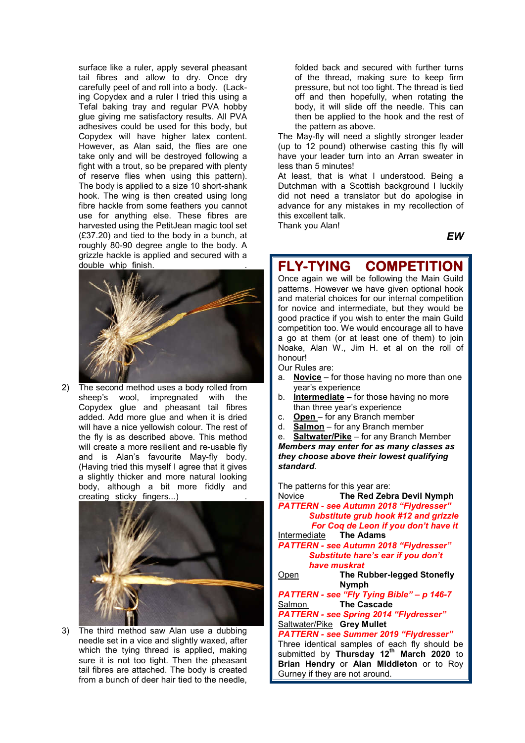surface like a ruler, apply several pheasant tail fibres and allow to dry. Once dry carefully peel of and roll into a body. (Lacking Copydex and a ruler I tried this using a Tefal baking tray and regular PVA hobby glue giving me satisfactory results. All PVA adhesives could be used for this body, but Copydex will have higher latex content. However, as Alan said, the flies are one take only and will be destroyed following a fight with a trout, so be prepared with plenty of reserve flies when using this pattern). The body is applied to a size 10 short-shank hook. The wing is then created using long fibre hackle from some feathers you cannot use for anything else. These fibres are harvested using the PetitJean magic tool set (£37.20) and tied to the body in a bunch, at roughly 80-90 degree angle to the body. A grizzle hackle is applied and secured with a double whip finish.



2) The second method uses a body rolled from sheep's wool, impregnated with the Copydex glue and pheasant tail fibres added. Add more glue and when it is dried will have a nice yellowish colour. The rest of the fly is as described above. This method will create a more resilient and re-usable fly and is Alan's favourite May-fly body. (Having tried this myself I agree that it gives a slightly thicker and more natural looking body, although a bit more fiddly and creating sticky fingers...)



3) The third method saw Alan use a dubbing needle set in a vice and slightly waxed, after which the tying thread is applied, making sure it is not too tight. Then the pheasant tail fibres are attached. The body is created from a bunch of deer hair tied to the needle,

folded back and secured with further turns of the thread, making sure to keep firm pressure, but not too tight. The thread is tied off and then hopefully, when rotating the body, it will slide off the needle. This can then be applied to the hook and the rest of the pattern as above.

The May-fly will need a slightly stronger leader (up to 12 pound) otherwise casting this fly will have your leader turn into an Arran sweater in less than 5 minutes!

At least, that is what I understood. Being a Dutchman with a Scottish background I luckily did not need a translator but do apologise in advance for any mistakes in my recollection of this excellent talk.

Thank you Alan!

#### *EW*

## **FLY-TYING COMPETITION**

Once again we will be following the Main Guild patterns. However we have given optional hook and material choices for our internal competition for novice and intermediate, but they would be good practice if you wish to enter the main Guild competition too. We would encourage all to have a go at them (or at least one of them) to join Noake, Alan W., Jim H. et al on the roll of honour!

Our Rules are:

- a. **Novice** for those having no more than one year's experience
- b. **Intermediate** for those having no more than three year's experience
- c. **Open** for any Branch member<br>d. **Salmon** for any Branch memb
- d. **Salmon** for any Branch member
- **Saltwater/Pike** for any Branch Member

*Members may enter for as many classes as they choose above their lowest qualifying standard*.

The patterns for this year are:

Gurney if they are not around.

Novice **The Red Zebra Devil Nymph** *PATTERN - see Autumn 2018 "Flydresser" Substitute grub hook #12 and grizzle For Coq de Leon if you don't have it* Intermediate **The Adams** *PATTERN - see Autumn 2018 "Flydresser" Substitute hare's ear if you don't have muskrat* Open **The Rubber-legged Stonefly Nymph** *PATTERN - see "Fly Tying Bible" – p 146-7* Salmon **The Cascade** *PATTERN - see Spring 2014 "Flydresser"* Saltwater/Pike **Grey Mullet** *PATTERN - see Summer 2019 "Flydresser"* Three identical samples of each fly should be submitted by **Thursday 12th March 2020** to **Brian Hendry** or **Alan Middleton** or to Roy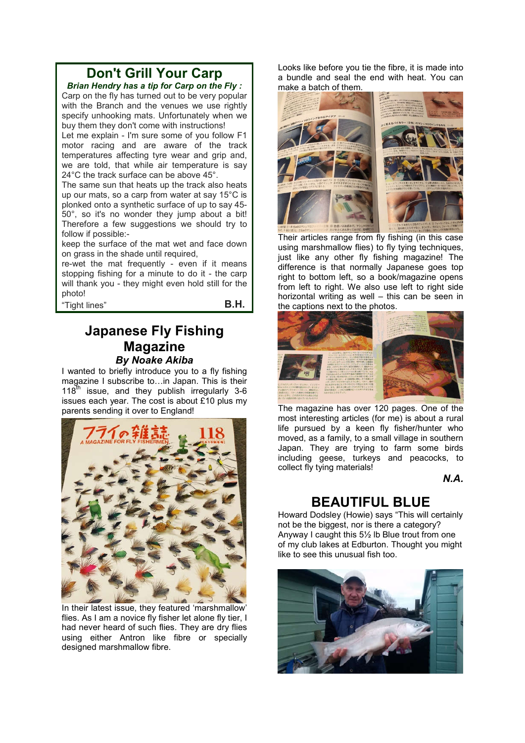## **Don't Grill Your Carp**

*Brian Hendry has a tip for Carp on the Fly :* Carp on the fly has turned out to be very popular with the Branch and the venues we use rightly specify unhooking mats. Unfortunately when we buy them they don't come with instructions!

Let me explain - I'm sure some of you follow F1 motor racing and are aware of the track temperatures affecting tyre wear and grip and, we are told, that while air temperature is say 24°C the track surface can be above 45°.

The same sun that heats up the track also heats up our mats, so a carp from water at say 15°C is plonked onto a synthetic surface of up to say 45- 50°, so it's no wonder they jump about a bit! Therefore a few suggestions we should try to follow if possible:-

keep the surface of the mat wet and face down on grass in the shade until required,

re-wet the mat frequently - even if it means stopping fishing for a minute to do it - the carp will thank you - they might even hold still for the photo!

"Tight lines" **B.H.**

#### **Japanese Fly Fishing Magazine** *By Noake Akiba*

I wanted to briefly introduce you to a fly fishing magazine I subscribe to…in Japan. This is their  $118<sup>th</sup>$  issue, and they publish irregularly 3-6 issues each year. The cost is about £10 plus my parents sending it over to England!



In their latest issue, they featured 'marshmallow' flies. As I am a novice fly fisher let alone fly tier, I had never heard of such flies. They are dry flies using either Antron like fibre or specially designed marshmallow fibre.

Looks like before you tie the fibre, it is made into a bundle and seal the end with heat. You can make a batch of them.



Their articles range from fly fishing (in this case using marshmallow flies) to fly tying techniques, just like any other fly fishing magazine! The difference is that normally Japanese goes top right to bottom left, so a book/magazine opens from left to right. We also use left to right side horizontal writing as well – this can be seen in the captions next to the photos.



The magazine has over 120 pages. One of the most interesting articles (for me) is about a rural life pursued by a keen fly fisher/hunter who moved, as a family, to a small village in southern Japan. They are trying to farm some birds including geese, turkeys and peacocks, to collect fly tying materials!

*N.A.*

#### **BEAUTIFUL BLUE**

Howard Dodsley (Howie) says "This will certainly not be the biggest, nor is there a category? Anyway I caught this 5½ lb Blue trout from one of my club lakes at Edburton. Thought you might like to see this unusual fish too.

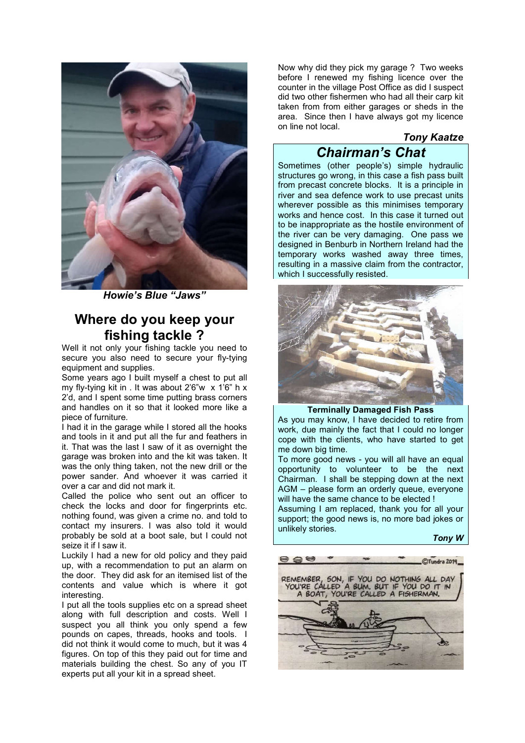

*Howie's Blue "Jaws"*

### **Where do you keep your fishing tackle ?**

Well it not only your fishing tackle you need to secure you also need to secure your fly-tying equipment and supplies.

Some years ago I built myself a chest to put all my fly-tying kit in . It was about 2'6"w x 1'6" h x 2'd, and I spent some time putting brass corners and handles on it so that it looked more like a piece of furniture.

I had it in the garage while I stored all the hooks and tools in it and put all the fur and feathers in it. That was the last I saw of it as overnight the garage was broken into and the kit was taken. It was the only thing taken, not the new drill or the power sander. And whoever it was carried it over a car and did not mark it.

Called the police who sent out an officer to check the locks and door for fingerprints etc. nothing found, was given a crime no. and told to contact my insurers. I was also told it would probably be sold at a boot sale, but I could not seize it if I saw it.

Luckily I had a new for old policy and they paid up, with a recommendation to put an alarm on the door. They did ask for an itemised list of the contents and value which is where it got interesting.

I put all the tools supplies etc on a spread sheet along with full description and costs. Well I suspect you all think you only spend a few pounds on capes, threads, hooks and tools. I did not think it would come to much, but it was 4 figures. On top of this they paid out for time and materials building the chest. So any of you IT experts put all your kit in a spread sheet.

Now why did they pick my garage ? Two weeks before I renewed my fishing licence over the counter in the village Post Office as did I suspect did two other fishermen who had all their carp kit taken from from either garages or sheds in the area. Since then I have always got my licence on line not local.

#### *Tony Kaatze*

*Chairman's Chat* Sometimes (other people's) simple hydraulic structures go wrong, in this case a fish pass built from precast concrete blocks. It is a principle in river and sea defence work to use precast units wherever possible as this minimises temporary works and hence cost. In this case it turned out to be inappropriate as the hostile environment of the river can be very damaging. One pass we designed in Benburb in Northern Ireland had the temporary works washed away three times, resulting in a massive claim from the contractor, which I successfully resisted.



**Terminally Damaged Fish Pass**

As you may know, I have decided to retire from work, due mainly the fact that I could no longer cope with the clients, who have started to get me down big time.

To more good news - you will all have an equal opportunity to volunteer to be the next Chairman. I shall be stepping down at the next AGM – please form an orderly queue, everyone will have the same chance to be elected !

Assuming I am replaced, thank you for all your support; the good news is, no more bad jokes or unlikely stories.

*Tony W*

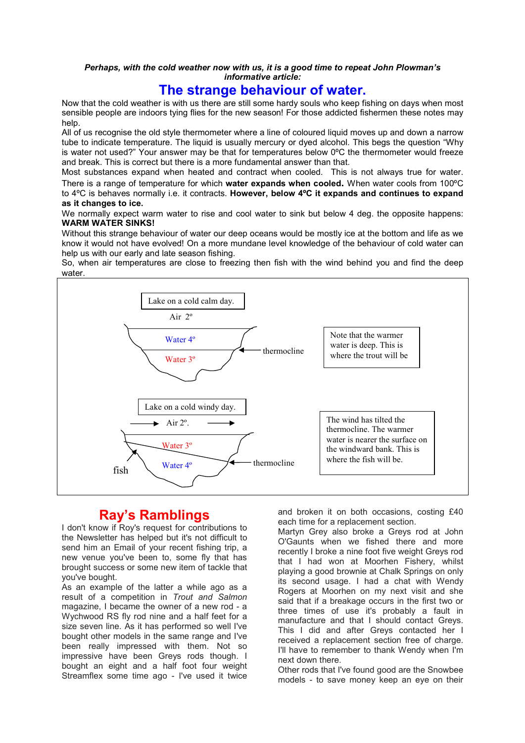#### *Perhaps, with the cold weather now with us, it is a good time to repeat John Plowman's informative article:*

#### **The strange behaviour of water.**

Now that the cold weather is with us there are still some hardy souls who keep fishing on days when most sensible people are indoors tying flies for the new season! For those addicted fishermen these notes may help.

All of us recognise the old style thermometer where a line of coloured liquid moves up and down a narrow tube to indicate temperature. The liquid is usually mercury or dyed alcohol. This begs the question "Why is water not used?" Your answer may be that for temperatures below 0ºC the thermometer would freeze and break. This is correct but there is a more fundamental answer than that.

Most substances expand when heated and contract when cooled. This is not always true for water. There is a range of temperature for which **water expands when cooled.** When water cools from 100ºC to 4ºC is behaves normally i.e. it contracts. **However, below 4ºC it expands and continues to expand as it changes to ice.**

We normally expect warm water to rise and cool water to sink but below 4 deg. the opposite happens: **WARM WATER SINKS!**

Without this strange behaviour of water our deep oceans would be mostly ice at the bottom and life as we know it would not have evolved! On a more mundane level knowledge of the behaviour of cold water can help us with our early and late season fishing.

So, when air temperatures are close to freezing then fish with the wind behind you and find the deep water.



### **Ray's Ramblings**

I don't know if Roy's request for contributions to the Newsletter has helped but it's not difficult to send him an Email of your recent fishing trip, a new venue you've been to, some fly that has brought success or some new item of tackle that you've bought.

As an example of the latter a while ago as a result of a competition in *Trout and Salmon* magazine, I became the owner of a new rod - a Wychwood RS fly rod nine and a half feet for a size seven line. As it has performed so well I've bought other models in the same range and I've been really impressed with them. Not so impressive have been Greys rods though. I bought an eight and a half foot four weight Streamflex some time ago - I've used it twice

and broken it on both occasions, costing £40 each time for a replacement section.

Martyn Grey also broke a Greys rod at John O'Gaunts when we fished there and more recently I broke a nine foot five weight Greys rod that I had won at Moorhen Fishery, whilst playing a good brownie at Chalk Springs on only its second usage. I had a chat with Wendy Rogers at Moorhen on my next visit and she said that if a breakage occurs in the first two or three times of use it's probably a fault in manufacture and that I should contact Greys. This I did and after Greys contacted her I received a replacement section free of charge. I'll have to remember to thank Wendy when I'm next down there.

Other rods that I've found good are the Snowbee models - to save money keep an eye on their